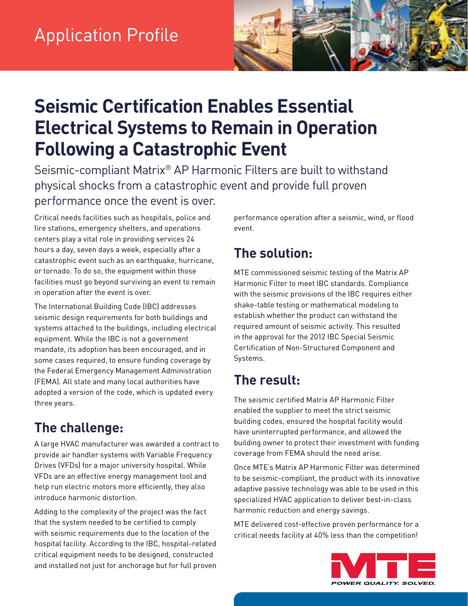

# **Seismic Certification Enables Essential Electrical Systems to Remain in Operation Following a Catastrophic Event**

Seismic-compliant Matrix® AP Harmonic Filters are built to withstand physical shocks from a catastrophic event and provide full proven performance once the event is over.

Critical needs facilities such as hospitals, police and fire stations, emergency shelters, and operations centers play a vital role in providing services 24 hours a day, seven days a week, especially after a catastrophic event such as an earthquake, hurricane, or tornado. To do so, the equipment within those facilities must go beyond surviving an event to remain in operation after the event is over.

The International Building Code (IBC) addresses seismic design requirements for both buildings and systems attached to the buildings, including electrical equipment. While the IBC is not a government mandate, its adoption has been encouraged, and in some cases required, to ensure funding coverage by the Federal Emergency Management Administration (FEMA). All state and many local authorities have adopted a version of the code, which is updated every three years.

### **The challenge:**

A large HVAC manufacturer was awarded a contract to provide air handler systems with Variable Frequency Drives (VFDs) for a major university hospital. While VFDs are an effective energy management tool and help run electric motors more efficiently, they also introduce harmonic distortion.

Adding to the complexity of the project was the fact that the system needed to be certified to comply with seismic requirements due to the location of the hospital facility. According to the IBC, hospital-related critical equipment needs to be designed, constructed and installed not just for anchorage but for full proven performance operation after a seismic, wind, or flood event.

## **The solution:**

MTE commissioned seismic testing of the Matrix AP Harmonic Filter to meet IBC standards. Compliance with the seismic provisions of the IBC requires either shake-table testing or mathematical modeling to establish whether the product can withstand the required amount of seismic activity. This resulted in the approval for the 2012 IBC Special Seismic Certification of Non-Structured Component and Systems.

### **The result:**

The seismic certified Matrix AP Harmonic Filter enabled the supplier to meet the strict seismic building codes, ensured the hospital facility would have uninterrupted performance, and allowed the building owner to protect their investment with funding coverage from FEMA should the need arise.

Once MTE's Matrix AP Harmonic Filter was determined to be seismic-compliant, the product with its innovative adaptive passive technology was able to be used in this specialized HVAC application to deliver best-in-class harmonic reduction and energy savings.

MTE delivered cost-effective proven performance for a critical needs facility at 40% less than the competition!